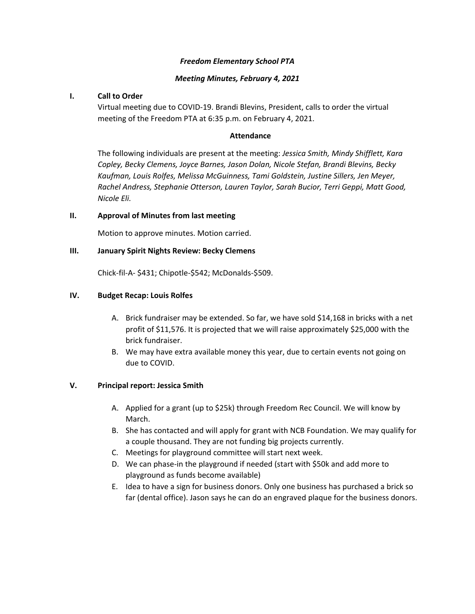#### *Freedom Elementary School PTA*

#### *Meeting Minutes, February 4, 2021*

## **I. Call to Order**

Virtual meeting due to COVID-19. Brandi Blevins, President, calls to order the virtual meeting of the Freedom PTA at 6:35 p.m. on February 4, 2021.

#### **Attendance**

The following individuals are present at the meeting: *Jessica Smith, Mindy Shifflett, Kara Copley, Becky Clemens, Joyce Barnes, Jason Dolan, Nicole Stefan, Brandi Blevins, Becky Kaufman, Louis Rolfes, Melissa McGuinness, Tami Goldstein, Justine Sillers, Jen Meyer, Rachel Andress, Stephanie Otterson, Lauren Taylor, Sarah Bucior, Terri Geppi, Matt Good, Nicole Eli.* 

## **II. Approval of Minutes from last meeting**

Motion to approve minutes. Motion carried.

## **III. January Spirit Nights Review: Becky Clemens**

Chick-fil-A- \$431; Chipotle-\$542; McDonalds-\$509.

## **IV. Budget Recap: Louis Rolfes**

- A. Brick fundraiser may be extended. So far, we have sold \$14,168 in bricks with a net profit of \$11,576. It is projected that we will raise approximately \$25,000 with the brick fundraiser.
- B. We may have extra available money this year, due to certain events not going on due to COVID.

# **V. Principal report: Jessica Smith**

- A. Applied for a grant (up to \$25k) through Freedom Rec Council. We will know by March.
- B. She has contacted and will apply for grant with NCB Foundation. We may qualify for a couple thousand. They are not funding big projects currently.
- C. Meetings for playground committee will start next week.
- D. We can phase-in the playground if needed (start with \$50k and add more to playground as funds become available)
- E. Idea to have a sign for business donors. Only one business has purchased a brick so far (dental office). Jason says he can do an engraved plaque for the business donors.